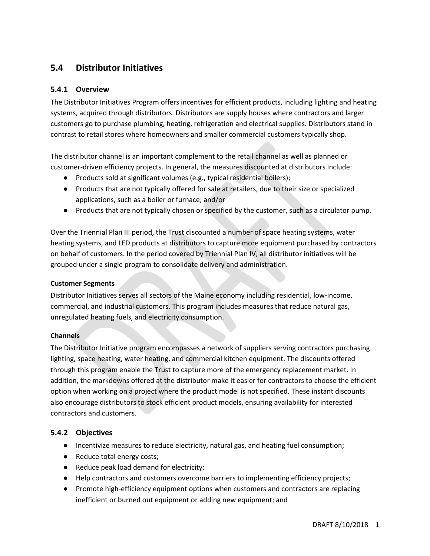# **5.4 Distributor Initiatives**

# **5.4.1 Overview**

The Distributor Initiatives Program offers incentives for efficient products, including lighting and heating systems, acquired through distributors. Distributors are supply houses where contractors and larger customers go to purchase plumbing, heating, refrigeration and electrical supplies. Distributors stand in contrast to retail stores where homeowners and smaller commercial customers typically shop.

The distributor channel is an important complement to the retail channel as well as planned or customer-driven efficiency projects. In general, the measures discounted at distributors include:

- Products sold at significant volumes (e.g., typical residential boilers);
- Products that are not typically offered for sale at retailers, due to their size or specialized applications, such as a boiler or furnace; and/or
- Products that are not typically chosen or specified by the customer, such as a circulator pump.

Over the Triennial Plan III period, the Trust discounted a number of space heating systems, water heating systems, and LED products at distributors to capture more equipment purchased by contractors on behalf of customers. In the period covered by Triennial Plan IV, all distributor initiatives will be grouped under a single program to consolidate delivery and administration.

### **Customer Segments**

Distributor Initiatives serves all sectors of the Maine economy including residential, low-income, commercial, and industrial customers. This program includes measures that reduce natural gas, unregulated heating fuels, and electricity consumption.

### **Channels**

The Distributor Initiative program encompasses a network of suppliers serving contractors purchasing lighting, space heating, water heating, and commercial kitchen equipment. The discounts offered through this program enable the Trust to capture more of the emergency replacement market. In addition, the markdowns offered at the distributor make it easier for contractors to choose the efficient option when working on a project where the product model is not specified. These instant discounts also encourage distributors to stock efficient product models, ensuring availability for interested contractors and customers.

# **5.4.2 Objectives**

- Incentivize measures to reduce electricity, natural gas, and heating fuel consumption;
- Reduce total energy costs;
- Reduce peak load demand for electricity;
- Help contractors and customers overcome barriers to implementing efficiency projects;
- Promote high-efficiency equipment options when customers and contractors are replacing inefficient or burned out equipment or adding new equipment; and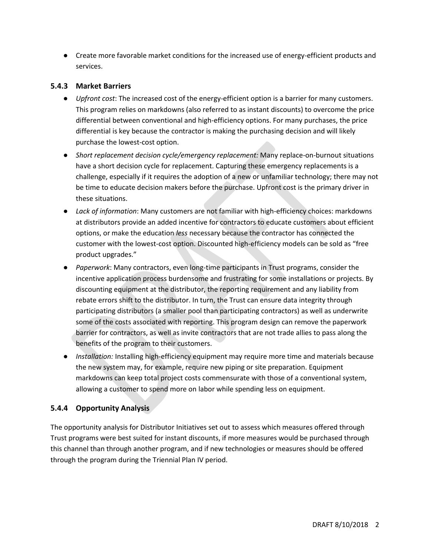● Create more favorable market conditions for the increased use of energy-efficient products and services.

# **5.4.3 Market Barriers**

- *Upfront cost*: The increased cost of the energy-efficient option is a barrier for many customers. This program relies on markdowns (also referred to as instant discounts) to overcome the price differential between conventional and high-efficiency options. For many purchases, the price differential is key because the contractor is making the purchasing decision and will likely purchase the lowest-cost option.
- *Short replacement decision cycle/emergency replacement:* Many replace-on-burnout situations have a short decision cycle for replacement. Capturing these emergency replacements is a challenge, especially if it requires the adoption of a new or unfamiliar technology; there may not be time to educate decision makers before the purchase. Upfront cost is the primary driver in these situations.
- *Lack of information*: Many customers are not familiar with high-efficiency choices: markdowns at distributors provide an added incentive for contractors to educate customers about efficient options, or make the education *less* necessary because the contractor has connected the customer with the lowest-cost option. Discounted high-efficiency models can be sold as "free product upgrades."
- *Paperwork*: Many contractors, even long-time participants in Trust programs, consider the incentive application process burdensome and frustrating for some installations or projects. By discounting equipment at the distributor, the reporting requirement and any liability from rebate errors shift to the distributor. In turn, the Trust can ensure data integrity through participating distributors (a smaller pool than participating contractors) as well as underwrite some of the costs associated with reporting. This program design can remove the paperwork barrier for contractors, as well as invite contractors that are not trade allies to pass along the benefits of the program to their customers.
- *Installation:* Installing high-efficiency equipment may require more time and materials because the new system may, for example, require new piping or site preparation. Equipment markdowns can keep total project costs commensurate with those of a conventional system, allowing a customer to spend more on labor while spending less on equipment.

# **5.4.4 Opportunity Analysis**

The opportunity analysis for Distributor Initiatives set out to assess which measures offered through Trust programs were best suited for instant discounts, if more measures would be purchased through this channel than through another program, and if new technologies or measures should be offered through the program during the Triennial Plan IV period.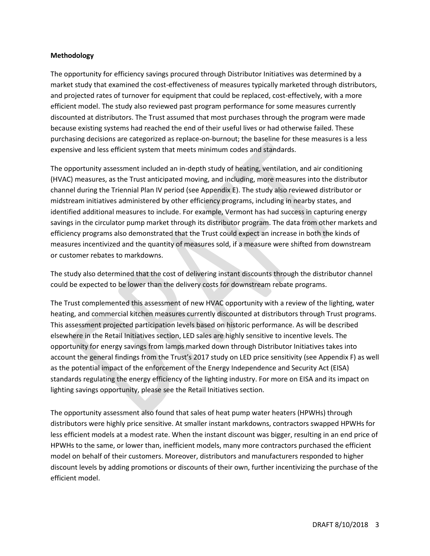#### **Methodology**

The opportunity for efficiency savings procured through Distributor Initiatives was determined by a market study that examined the cost-effectiveness of measures typically marketed through distributors, and projected rates of turnover for equipment that could be replaced, cost-effectively, with a more efficient model. The study also reviewed past program performance for some measures currently discounted at distributors. The Trust assumed that most purchases through the program were made because existing systems had reached the end of their useful lives or had otherwise failed. These purchasing decisions are categorized as replace-on-burnout; the baseline for these measures is a less expensive and less efficient system that meets minimum codes and standards.

The opportunity assessment included an in-depth study of heating, ventilation, and air conditioning (HVAC) measures, as the Trust anticipated moving, and including, more measures into the distributor channel during the Triennial Plan IV period (see Appendix E). The study also reviewed distributor or midstream initiatives administered by other efficiency programs, including in nearby states, and identified additional measures to include. For example, Vermont has had success in capturing energy savings in the circulator pump market through its distributor program. The data from other markets and efficiency programs also demonstrated that the Trust could expect an increase in both the kinds of measures incentivized and the quantity of measures sold, if a measure were shifted from downstream or customer rebates to markdowns.

The study also determined that the cost of delivering instant discounts through the distributor channel could be expected to be lower than the delivery costs for downstream rebate programs.

The Trust complemented this assessment of new HVAC opportunity with a review of the lighting, water heating, and commercial kitchen measures currently discounted at distributors through Trust programs. This assessment projected participation levels based on historic performance. As will be described elsewhere in the Retail Initiatives section, LED sales are highly sensitive to incentive levels. The opportunity for energy savings from lamps marked down through Distributor Initiatives takes into account the general findings from the Trust's 2017 study on LED price sensitivity (see Appendix F) as well as the potential impact of the enforcement of the Energy Independence and Security Act (EISA) standards regulating the energy efficiency of the lighting industry. For more on EISA and its impact on lighting savings opportunity, please see the Retail Initiatives section.

The opportunity assessment also found that sales of heat pump water heaters (HPWHs) through distributors were highly price sensitive. At smaller instant markdowns, contractors swapped HPWHs for less efficient models at a modest rate. When the instant discount was bigger, resulting in an end price of HPWHs to the same, or lower than, inefficient models, many more contractors purchased the efficient model on behalf of their customers. Moreover, distributors and manufacturers responded to higher discount levels by adding promotions or discounts of their own, further incentivizing the purchase of the efficient model.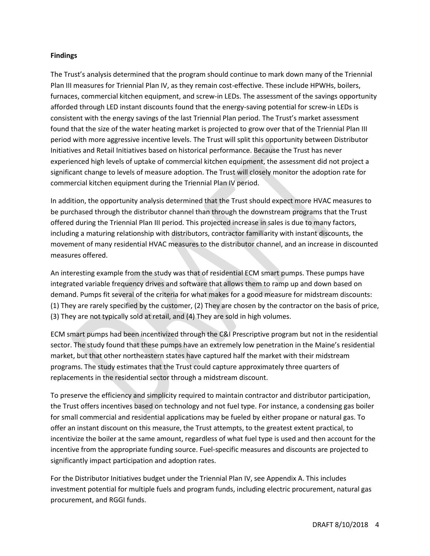#### **Findings**

The Trust's analysis determined that the program should continue to mark down many of the Triennial Plan III measures for Triennial Plan IV, as they remain cost-effective. These include HPWHs, boilers, furnaces, commercial kitchen equipment, and screw-in LEDs. The assessment of the savings opportunity afforded through LED instant discounts found that the energy-saving potential for screw-in LEDs is consistent with the energy savings of the last Triennial Plan period. The Trust's market assessment found that the size of the water heating market is projected to grow over that of the Triennial Plan III period with more aggressive incentive levels. The Trust will split this opportunity between Distributor Initiatives and Retail Initiatives based on historical performance. Because the Trust has never experienced high levels of uptake of commercial kitchen equipment, the assessment did not project a significant change to levels of measure adoption. The Trust will closely monitor the adoption rate for commercial kitchen equipment during the Triennial Plan IV period.

In addition, the opportunity analysis determined that the Trust should expect more HVAC measures to be purchased through the distributor channel than through the downstream programs that the Trust offered during the Triennial Plan III period. This projected increase in sales is due to many factors, including a maturing relationship with distributors, contractor familiarity with instant discounts, the movement of many residential HVAC measures to the distributor channel, and an increase in discounted measures offered.

An interesting example from the study was that of residential ECM smart pumps. These pumps have integrated variable frequency drives and software that allows them to ramp up and down based on demand. Pumps fit several of the criteria for what makes for a good measure for midstream discounts: (1) They are rarely specified by the customer, (2) They are chosen by the contractor on the basis of price, (3) They are not typically sold at retail, and (4) They are sold in high volumes.

ECM smart pumps had been incentivized through the C&I Prescriptive program but not in the residential sector. The study found that these pumps have an extremely low penetration in the Maine's residential market, but that other northeastern states have captured half the market with their midstream programs. The study estimates that the Trust could capture approximately three quarters of replacements in the residential sector through a midstream discount.

To preserve the efficiency and simplicity required to maintain contractor and distributor participation, the Trust offers incentives based on technology and not fuel type. For instance, a condensing gas boiler for small commercial and residential applications may be fueled by either propane or natural gas. To offer an instant discount on this measure, the Trust attempts, to the greatest extent practical, to incentivize the boiler at the same amount, regardless of what fuel type is used and then account for the incentive from the appropriate funding source. Fuel-specific measures and discounts are projected to significantly impact participation and adoption rates.

For the Distributor Initiatives budget under the Triennial Plan IV, see Appendix A. This includes investment potential for multiple fuels and program funds, including electric procurement, natural gas procurement, and RGGI funds.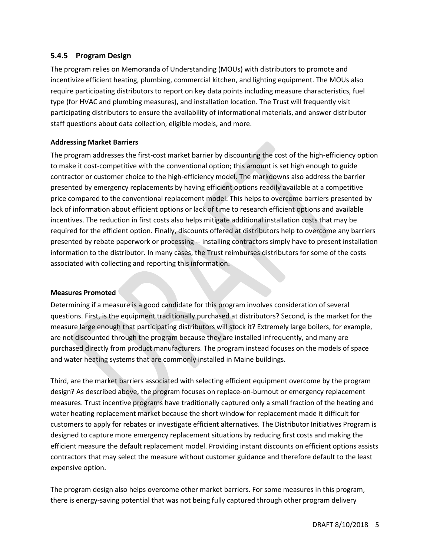## **5.4.5 Program Design**

The program relies on Memoranda of Understanding (MOUs) with distributors to promote and incentivize efficient heating, plumbing, commercial kitchen, and lighting equipment. The MOUs also require participating distributors to report on key data points including measure characteristics, fuel type (for HVAC and plumbing measures), and installation location. The Trust will frequently visit participating distributors to ensure the availability of informational materials, and answer distributor staff questions about data collection, eligible models, and more.

### **Addressing Market Barriers**

The program addresses the first-cost market barrier by discounting the cost of the high-efficiency option to make it cost-competitive with the conventional option; this amount is set high enough to guide contractor or customer choice to the high-efficiency model. The markdowns also address the barrier presented by emergency replacements by having efficient options readily available at a competitive price compared to the conventional replacement model. This helps to overcome barriers presented by lack of information about efficient options or lack of time to research efficient options and available incentives. The reduction in first costs also helps mitigate additional installation costs that may be required for the efficient option. Finally, discounts offered at distributors help to overcome any barriers presented by rebate paperwork or processing -- installing contractors simply have to present installation information to the distributor. In many cases, the Trust reimburses distributors for some of the costs associated with collecting and reporting this information.

### **Measures Promoted**

Determining if a measure is a good candidate for this program involves consideration of several questions. First, is the equipment traditionally purchased at distributors? Second, is the market for the measure large enough that participating distributors will stock it? Extremely large boilers, for example, are not discounted through the program because they are installed infrequently, and many are purchased directly from product manufacturers. The program instead focuses on the models of space and water heating systems that are commonly installed in Maine buildings.

Third, are the market barriers associated with selecting efficient equipment overcome by the program design? As described above, the program focuses on replace-on-burnout or emergency replacement measures. Trust incentive programs have traditionally captured only a small fraction of the heating and water heating replacement market because the short window for replacement made it difficult for customers to apply for rebates or investigate efficient alternatives. The Distributor Initiatives Program is designed to capture more emergency replacement situations by reducing first costs and making the efficient measure the default replacement model. Providing instant discounts on efficient options assists contractors that may select the measure without customer guidance and therefore default to the least expensive option.

The program design also helps overcome other market barriers. For some measures in this program, there is energy-saving potential that was not being fully captured through other program delivery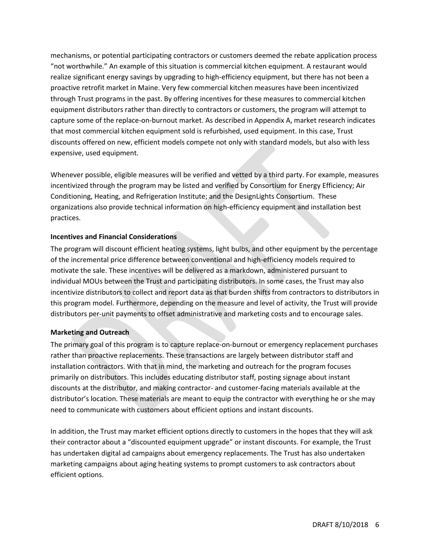mechanisms, or potential participating contractors or customers deemed the rebate application process "not worthwhile." An example of this situation is commercial kitchen equipment. A restaurant would realize significant energy savings by upgrading to high-efficiency equipment, but there has not been a proactive retrofit market in Maine. Very few commercial kitchen measures have been incentivized through Trust programs in the past. By offering incentives for these measures to commercial kitchen equipment distributors rather than directly to contractors or customers, the program will attempt to capture some of the replace-on-burnout market. As described in Appendix A, market research indicates that most commercial kitchen equipment sold is refurbished, used equipment. In this case, Trust discounts offered on new, efficient models compete not only with standard models, but also with less expensive, used equipment.

Whenever possible, eligible measures will be verified and vetted by a third party. For example, measures incentivized through the program may be listed and verified by Consortium for Energy Efficiency; Air Conditioning, Heating, and Refrigeration Institute; and the DesignLights Consortium. These organizations also provide technical information on high-efficiency equipment and installation best practices.

### **Incentives and Financial Considerations**

The program will discount efficient heating systems, light bulbs, and other equipment by the percentage of the incremental price difference between conventional and high-efficiency models required to motivate the sale. These incentives will be delivered as a markdown, administered pursuant to individual MOUs between the Trust and participating distributors. In some cases, the Trust may also incentivize distributors to collect and report data as that burden shifts from contractors to distributors in this program model. Furthermore, depending on the measure and level of activity, the Trust will provide distributors per-unit payments to offset administrative and marketing costs and to encourage sales.

# **Marketing and Outreach**

The primary goal of this program is to capture replace-on-burnout or emergency replacement purchases rather than proactive replacements. These transactions are largely between distributor staff and installation contractors. With that in mind, the marketing and outreach for the program focuses primarily on distributors. This includes educating distributor staff, posting signage about instant discounts at the distributor, and making contractor- and customer-facing materials available at the distributor's location. These materials are meant to equip the contractor with everything he or she may need to communicate with customers about efficient options and instant discounts.

In addition, the Trust may market efficient options directly to customers in the hopes that they will ask their contractor about a "discounted equipment upgrade" or instant discounts. For example, the Trust has undertaken digital ad campaigns about emergency replacements. The Trust has also undertaken marketing campaigns about aging heating systems to prompt customers to ask contractors about efficient options.